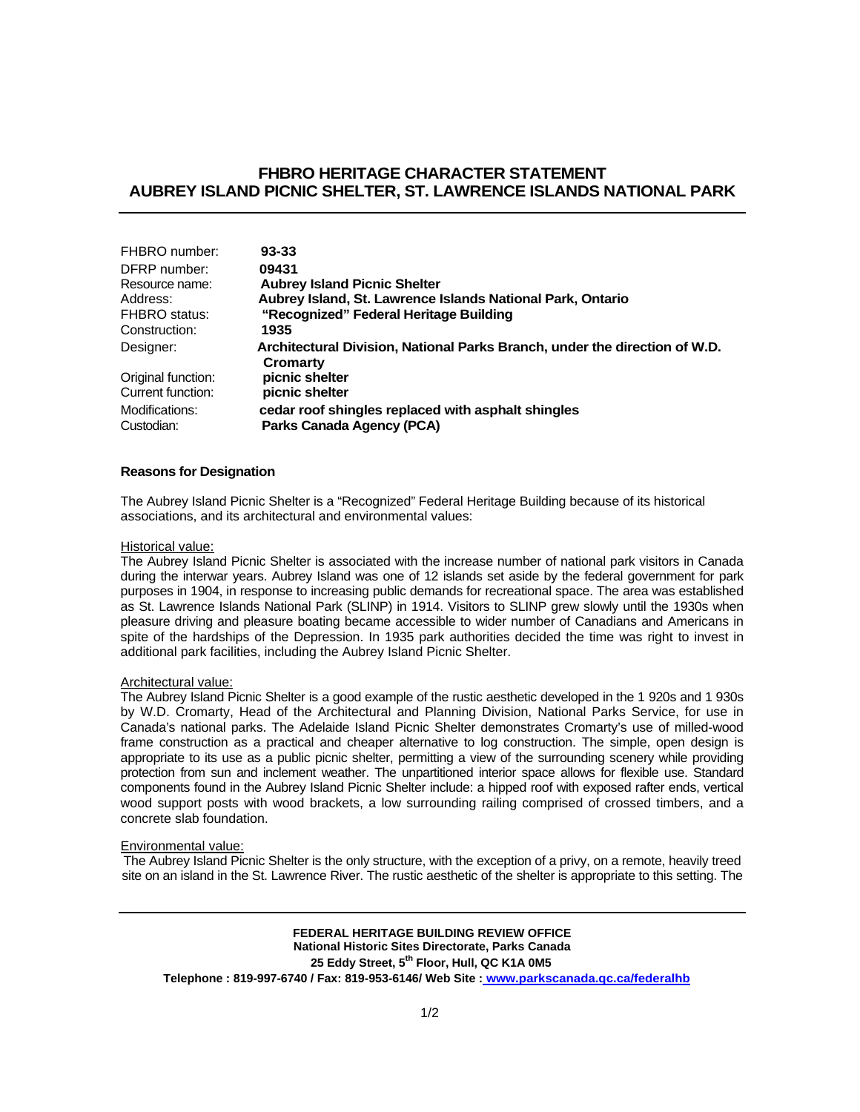# **FHBRO HERITAGE CHARACTER STATEMENT AUBREY ISLAND PICNIC SHELTER, ST. LAWRENCE ISLANDS NATIONAL PARK**

| FHBRO number:      | $93 - 33$                                                                  |
|--------------------|----------------------------------------------------------------------------|
| DFRP number:       | 09431                                                                      |
| Resource name:     | <b>Aubrey Island Picnic Shelter</b>                                        |
| Address:           | Aubrey Island, St. Lawrence Islands National Park, Ontario                 |
| FHBRO status:      | "Recognized" Federal Heritage Building                                     |
| Construction:      | 1935                                                                       |
| Designer:          | Architectural Division, National Parks Branch, under the direction of W.D. |
|                    | Cromarty                                                                   |
| Original function: | picnic shelter                                                             |
| Current function:  | picnic shelter                                                             |
| Modifications:     | cedar roof shingles replaced with asphalt shingles                         |
| Custodian:         | Parks Canada Agency (PCA)                                                  |

### **Reasons for Designation**

The Aubrey Island Picnic Shelter is a "Recognized" Federal Heritage Building because of its historical associations, and its architectural and environmental values:

#### Historical value:

The Aubrey Island Picnic Shelter is associated with the increase number of national park visitors in Canada during the interwar years. Aubrey Island was one of 12 islands set aside by the federal government for park purposes in 1904, in response to increasing public demands for recreational space. The area was established as St. Lawrence Islands National Park (SLINP) in 1914. Visitors to SLINP grew slowly until the 1930s when pleasure driving and pleasure boating became accessible to wider number of Canadians and Americans in spite of the hardships of the Depression. In 1935 park authorities decided the time was right to invest in additional park facilities, including the Aubrey Island Picnic Shelter.

### Architectural value:

The Aubrey Island Picnic Shelter is a good example of the rustic aesthetic developed in the 1 920s and 1 930s by W.D. Cromarty, Head of the Architectural and Planning Division, National Parks Service, for use in Canada's national parks. The Adelaide Island Picnic Shelter demonstrates Cromarty's use of milled-wood frame construction as a practical and cheaper alternative to log construction. The simple, open design is appropriate to its use as a public picnic shelter, permitting a view of the surrounding scenery while providing protection from sun and inclement weather. The unpartitioned interior space allows for flexible use. Standard components found in the Aubrey Island Picnic Shelter include: a hipped roof with exposed rafter ends, vertical wood support posts with wood brackets, a low surrounding railing comprised of crossed timbers, and a concrete slab foundation.

#### Environmental value:

The Aubrey Island Picnic Shelter is the only structure, with the exception of a privy, on a remote, heavily treed site on an island in the St. Lawrence River. The rustic aesthetic of the shelter is appropriate to this setting. The

**FEDERAL HERITAGE BUILDING REVIEW OFFICE National Historic Sites Directorate, Parks Canada**  25 Eddy Street, 5<sup>th</sup> Floor, Hull, QC K1A 0M5 **Telephone : 819-997-6740 / Fax: 819-953-6146/ Web Site : www.parkscanada.qc.ca/federalhb**